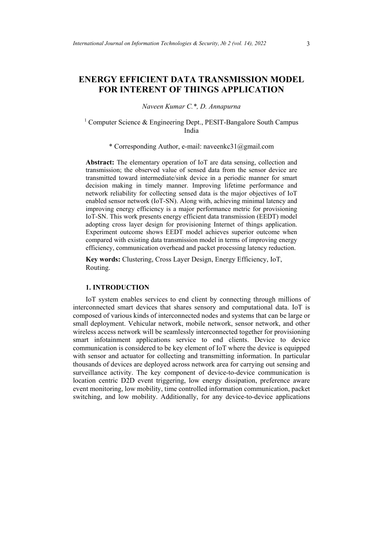# **ENERGY EFFICIENT DATA TRANSMISSION MODEL FOR INTERENT OF THINGS APPLICATION**

#### *Naveen Kumar C.\*, D. Annapurna*

## <sup>1</sup> Computer Science & Engineering Dept., PESIT-Bangalore South Campus India

## \* Corresponding Author, e-mail: naveenkc31@gmail.com

**Abstract:** The elementary operation of IoT are data sensing, collection and transmission; the observed value of sensed data from the sensor device are transmitted toward intermediate/sink device in a periodic manner for smart decision making in timely manner. Improving lifetime performance and network reliability for collecting sensed data is the major objectives of IoT enabled sensor network (IoT-SN). Along with, achieving minimal latency and improving energy efficiency is a major performance metric for provisioning IoT-SN. This work presents energy efficient data transmission (EEDT) model adopting cross layer design for provisioning Internet of things application. Experiment outcome shows EEDT model achieves superior outcome when compared with existing data transmission model in terms of improving energy efficiency, communication overhead and packet processing latency reduction.

**Key words:** Clustering, Cross Layer Design, Energy Efficiency, IoT, Routing.

#### **1. INTRODUCTION**

IoT system enables services to end client by connecting through millions of interconnected smart devices that shares sensory and computational data. IoT is composed of various kinds of interconnected nodes and systems that can be large or small deployment. Vehicular network, mobile network, sensor network, and other wireless access network will be seamlessly interconnected together for provisioning smart infotainment applications service to end clients. Device to device communication is considered to be key element of IoT where the device is equipped with sensor and actuator for collecting and transmitting information. In particular thousands of devices are deployed across network area for carrying out sensing and surveillance activity. The key component of device-to-device communication is location centric D2D event triggering, low energy dissipation, preference aware event monitoring, low mobility, time controlled information communication, packet switching, and low mobility. Additionally, for any device-to-device applications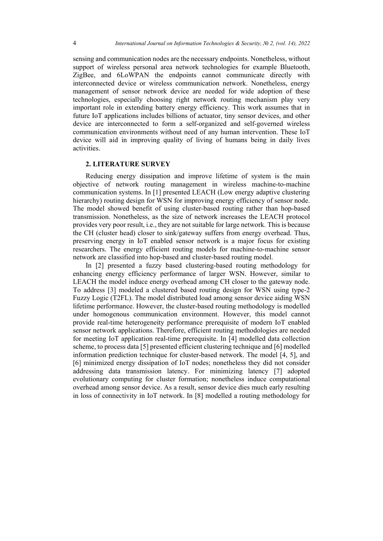sensing and communication nodes are the necessary endpoints. Nonetheless, without support of wireless personal area network technologies for example Bluetooth, ZigBee, and 6LoWPAN the endpoints cannot communicate directly with interconnected device or wireless communication network. Nonetheless, energy management of sensor network device are needed for wide adoption of these technologies, especially choosing right network routing mechanism play very important role in extending battery energy efficiency. This work assumes that in future IoT applications includes billions of actuator, tiny sensor devices, and other device are interconnected to form a self-organized and self-governed wireless communication environments without need of any human intervention. These IoT device will aid in improving quality of living of humans being in daily lives activities.

#### **2. LITERATURE SURVEY**

Reducing energy dissipation and improve lifetime of system is the main objective of network routing management in wireless machine-to-machine communication systems. In [1] presented LEACH (Low energy adaptive clustering hierarchy) routing design for WSN for improving energy efficiency of sensor node. The model showed benefit of using cluster-based routing rather than hop-based transmission. Nonetheless, as the size of network increases the LEACH protocol provides very poor result, i.e., they are not suitable for large network. This is because the CH (cluster head) closer to sink/gateway suffers from energy overhead. Thus, preserving energy in IoT enabled sensor network is a major focus for existing researchers. The energy efficient routing models for machine-to-machine sensor network are classified into hop-based and cluster-based routing model.

In [2] presented a fuzzy based clustering-based routing methodology for enhancing energy efficiency performance of larger WSN. However, similar to LEACH the model induce energy overhead among CH closer to the gateway node. To address [3] modeled a clustered based routing design for WSN using type-2 Fuzzy Logic (T2FL). The model distributed load among sensor device aiding WSN lifetime performance. However, the cluster-based routing methodology is modelled under homogenous communication environment. However, this model cannot provide real-time heterogeneity performance prerequisite of modern IoT enabled sensor network applications. Therefore, efficient routing methodologies are needed for meeting IoT application real-time prerequisite. In [4] modelled data collection scheme, to process data [5] presented efficient clustering technique and [6] modelled information prediction technique for cluster-based network. The model [4, 5], and [6] minimized energy dissipation of IoT nodes; nonetheless they did not consider addressing data transmission latency. For minimizing latency [7] adopted evolutionary computing for cluster formation; nonetheless induce computational overhead among sensor device. As a result, sensor device dies much early resulting in loss of connectivity in IoT network. In [8] modelled a routing methodology for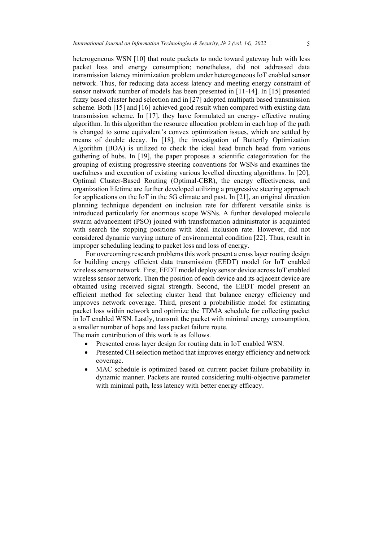heterogeneous WSN [10] that route packets to node toward gateway hub with less packet loss and energy consumption; nonetheless, did not addressed data transmission latency minimization problem under heterogeneous IoT enabled sensor network. Thus, for reducing data access latency and meeting energy constraint of sensor network number of models has been presented in [11-14]. In [15] presented fuzzy based cluster head selection and in [27] adopted multipath based transmission scheme. Both [15] and [16] achieved good result when compared with existing data transmission scheme. In [17], they have formulated an energy- effective routing algorithm. In this algorithm the resource allocation problem in each hop of the path is changed to some equivalent's convex optimization issues, which are settled by means of double decay. In [18], the investigation of Butterfly Optimization Algorithm (BOA) is utilized to check the ideal head bunch head from various gathering of hubs. In [19], the paper proposes a scientific categorization for the grouping of existing progressive steering conventions for WSNs and examines the usefulness and execution of existing various levelled directing algorithms. In [20], Optimal Cluster-Based Routing (Optimal-CBR), the energy effectiveness, and organization lifetime are further developed utilizing a progressive steering approach for applications on the IoT in the 5G climate and past. In [21], an original direction planning technique dependent on inclusion rate for different versatile sinks is introduced particularly for enormous scope WSNs. A further developed molecule swarm advancement (PSO) joined with transformation administrator is acquainted with search the stopping positions with ideal inclusion rate. However, did not considered dynamic varying nature of environmental condition [22]. Thus, result in improper scheduling leading to packet loss and loss of energy.

For overcoming research problems this work present a cross layer routing design for building energy efficient data transmission (EEDT) model for IoT enabled wireless sensor network. First, EEDT model deploy sensor device across IoT enabled wireless sensor network. Then the position of each device and its adjacent device are obtained using received signal strength. Second, the EEDT model present an efficient method for selecting cluster head that balance energy efficiency and improves network coverage. Third, present a probabilistic model for estimating packet loss within network and optimize the TDMA schedule for collecting packet in IoT enabled WSN. Lastly, transmit the packet with minimal energy consumption, a smaller number of hops and less packet failure route.

The main contribution of this work is as follows.

- Presented cross layer design for routing data in IoT enabled WSN.
- Presented CH selection method that improves energy efficiency and network coverage.
- MAC schedule is optimized based on current packet failure probability in dynamic manner. Packets are routed considering multi-objective parameter with minimal path, less latency with better energy efficacy.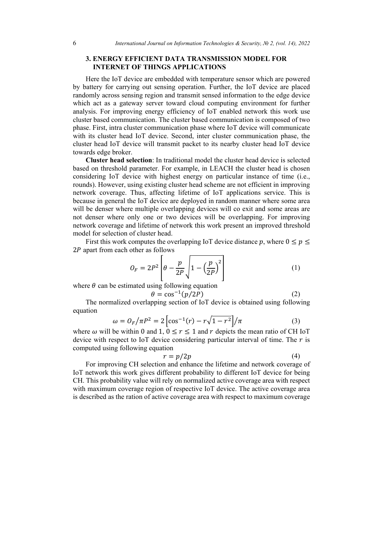## **3. ENERGY EFFICIENT DATA TRANSMISSION MODEL FOR INTERNET OF THINGS APPLICATIONS**

Here the IoT device are embedded with temperature sensor which are powered by battery for carrying out sensing operation. Further, the IoT device are placed randomly across sensing region and transmit sensed information to the edge device which act as a gateway server toward cloud computing environment for further analysis. For improving energy efficiency of IoT enabled network this work use cluster based communication. The cluster based communication is composed of two phase. First, intra cluster communication phase where IoT device will communicate with its cluster head IoT device. Second, inter cluster communication phase, the cluster head IoT device will transmit packet to its nearby cluster head IoT device towards edge broker.

**Cluster head selection**: In traditional model the cluster head device is selected based on threshold parameter. For example, in LEACH the cluster head is chosen considering IoT device with highest energy on particular instance of time (i.e., rounds). However, using existing cluster head scheme are not efficient in improving network coverage. Thus, affecting lifetime of IoT applications service. This is because in general the IoT device are deployed in random manner where some area will be denser where multiple overlapping devices will co exit and some areas are not denser where only one or two devices will be overlapping. For improving network coverage and lifetime of network this work present an improved threshold model for selection of cluster head.

First this work computes the overlapping IoT device distance p, where  $0 \le p \le$ 2P apart from each other as follows

$$
O_F = 2P^2 \left[ \theta - \frac{p}{2P} \sqrt{1 - \left(\frac{p}{2P}\right)^2} \right] \tag{1}
$$

where  $\theta$  can be estimated using following equation

$$
\theta = \cos^{-1}(p/2P) \tag{2}
$$

The normalized overlapping section of IoT device is obtained using following equation

$$
\omega = O_F / \pi P^2 = 2 \left[ \cos^{-1}(r) - r \sqrt{1 - r^2} \right] / \pi \tag{3}
$$

where  $\omega$  will be within 0 and 1,  $0 \le r \le 1$  and r depicts the mean ratio of CH IoT device with respect to IoT device considering particular interval of time. The  $r$  is computed using following equation

$$
r = p/2p \tag{4}
$$

For improving CH selection and enhance the lifetime and network coverage of IoT network this work gives different probability to different IoT device for being CH. This probability value will rely on normalized active coverage area with respect with maximum coverage region of respective IoT device. The active coverage area is described as the ration of active coverage area with respect to maximum coverage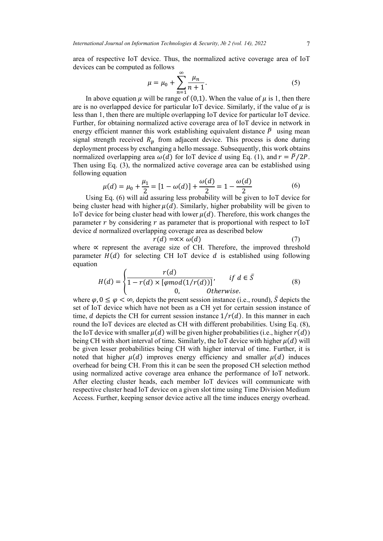area of respective IoT device. Thus, the normalized active coverage area of IoT devices can be computed as follows

$$
\mu = \mu_0 + \sum_{n=1}^{\infty} \frac{\mu_n}{n+1}.
$$
\n(5)

In above equation  $\mu$  will be range of (0,1). When the value of  $\mu$  is 1, then there are is no overlapped device for particular IoT device. Similarly, if the value of  $\mu$  is less than 1, then there are multiple overlapping IoT device for particular IoT device. Further, for obtaining normalized active coverage area of IoT device in network in energy efficient manner this work establishing equivalent distance  $\bar{P}$  using mean signal strength received  $R_p$  from adjacent device. This process is done during deployment process by exchanging a hello message. Subsequently, this work obtains normalized overlapping area  $\omega(d)$  for IoT device d using Eq. (1), and  $r = \bar{P}/2P$ . Then using Eq. (3), the normalized active coverage area can be established using following equation

$$
\mu(d) = \mu_0 + \frac{\mu_1}{2} = [1 - \omega(d)] + \frac{\omega(d)}{2} = 1 - \frac{\omega(d)}{2}
$$
(6)  
Using Eq. (6) will aid assuming less probability will be given to IoT device for

being cluster head with higher  $\mu(d)$ . Similarly, higher probability will be given to IoT device for being cluster head with lower  $\mu(d)$ . Therefore, this work changes the parameter  $r$  by considering  $r$  as parameter that is proportional with respect to IoT device *d* normalized overlapping coverage area as described below

$$
r(d) = \propto \propto \omega(d) \tag{7}
$$

where ∝ represent the average size of CH. Therefore, the improved threshold parameter  $H(d)$  for selecting CH IoT device d is established using following equation

$$
H(d) = \begin{cases} \frac{r(d)}{1 - r(d) \times [\varphi \text{mod}(1/r(d))]}, & \text{if } d \in \bar{S} \\ 0, & \text{otherwise.} \end{cases}
$$
(8)

where  $\varphi$ ,  $0 \le \varphi < \infty$ , depicts the present session instance (i.e., round),  $\bar{S}$  depicts the set of IoT device which have not been as a CH yet for certain session instance of time, *d* depicts the CH for current session instance  $1/r(d)$ . In this manner in each round the IoT devices are elected as CH with different probabilities. Using Eq. (8), the IoT device with smaller  $\mu(d)$  will be given higher probabilities (i.e., higher  $r(d)$ ) being CH with short interval of time. Similarly, the IoT device with higher  $\mu(d)$  will be given lesser probabilities being CH with higher interval of time. Further, it is noted that higher  $\mu(d)$  improves energy efficiency and smaller  $\mu(d)$  induces overhead for being CH. From this it can be seen the proposed CH selection method using normalized active coverage area enhance the performance of IoT network. After electing cluster heads, each member IoT devices will communicate with respective cluster head IoT device on a given slot time using Time Division Medium Access. Further, keeping sensor device active all the time induces energy overhead.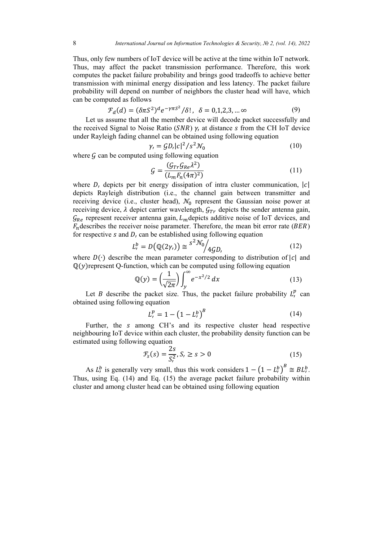Thus, only few numbers of IoT device will be active at the time within IoT network. Thus, may affect the packet transmission performance. Therefore, this work computes the packet failure probability and brings good tradeoffs to achieve better transmission with minimal energy dissipation and less latency. The packet failure probability will depend on number of neighbors the cluster head will have, which can be computed as follows

$$
\mathcal{F}_d(d) = (\delta \pi S^2)^d e^{-\gamma \pi S^2} / \delta!, \ \ \delta = 0, 1, 2, 3, \dots \infty
$$
 (9)

Let us assume that all the member device will decode packet successfully and the received Signal to Noise Ratio (SNR)  $\gamma$ , at distance s from the CH IoT device under Rayleigh fading channel can be obtained using following equation

$$
\gamma_r = \frac{G D_r |c|^2}{s^2} \mathcal{N}_0 \tag{10}
$$

where  $\mathcal G$  can be computed using following equation

$$
G = \frac{(G_{Tr}G_{Re}\lambda^2)}{(L_m F_n (4\pi)^2)}
$$
(11)

where  $D_t$ , depicts per bit energy dissipation of intra cluster communication,  $|c|$ depicts Rayleigh distribution (i.e., the channel gain between transmitter and receiving device (i.e., cluster head),  $\mathcal{N}_0$  represent the Gaussian noise power at receiving device,  $\lambda$  depict carrier wavelength,  $G_{Tr}$  depicts the sender antenna gain,  $\mathcal{G}_{Re}$  represent receiver antenna gain,  $L_m$  depicts additive noise of IoT devices, and  $F_n$  describes the receiver noise parameter. Therefore, the mean bit error rate ( $BER$ ) for respective  $s$  and  $D_t$ , can be established using following equation

$$
L_t^b = D(\mathbb{Q}(2\gamma_t)) \cong \frac{s^2 \mathcal{N}_0}{4gD_t}
$$
\n(12)

where  $D(\cdot)$  describe the mean parameter corresponding to distribution of  $|\mathcal{C}|$  and  $\mathbb{Q}(y)$  represent Q-function, which can be computed using following equation

$$
\mathbb{Q}(y) = \left(\frac{1}{\sqrt{2\pi}}\right) \int_{y}^{\infty} e^{-x^2/2} dx \tag{13}
$$

Let *B* describe the packet size. Thus, the packet failure probability  $L_t^p$  can obtained using following equation

$$
L_r^p = 1 - \left(1 - L_r^b\right)^B \tag{14}
$$

Further, the s among CH's and its respective cluster head respective neighbouring IoT device within each cluster, the probability density function can be estimated using following equation

$$
\mathcal{F}_s(s) = \frac{2s}{S_t^2}, S_t \ge s > 0
$$
\n(15)

As  $L_t^b$  is generally very small, thus this work considers  $1 - \left(1 - L_t^b\right)^B \cong BL_t^b$ . Thus, using Eq. (14) and Eq. (15) the average packet failure probability within cluster and among cluster head can be obtained using following equation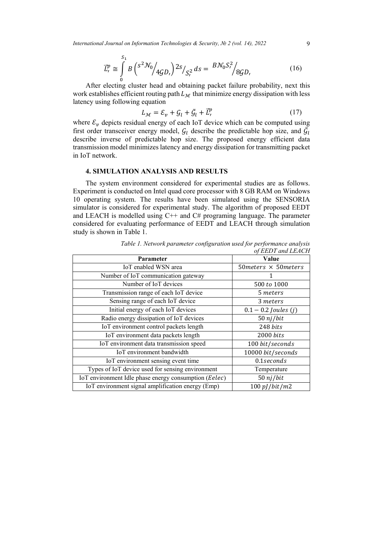*International Journal on Information Technologies & Security, № 2 (vol. 14), 2022* 9

$$
\vec{L}_t^p \cong \int_0^{S_1} B \left( \frac{s^2 \mathcal{N}_0}{4gD_t} \right) \frac{2s}{s^2} ds = \frac{B \mathcal{N}_0 S_t^2}{8gD_t} \tag{16}
$$

After electing cluster head and obtaining packet failure probability, next this work establishes efficient routing path  $L_M$  that minimize energy dissipation with less latency using following equation

$$
L_{\mathcal{M}} = \mathcal{E}_{\nu} + \mathcal{G}_{l} + \bar{\mathcal{G}}_{l} + \vec{L}_{r}^{p}
$$
 (17)

where  $\varepsilon_v$  depicts residual energy of each IoT device which can be computed using first order transceiver energy model,  $\mathcal{G}_l$  describe the predictable hop size, and  $\mathcal{G}_l$ describe inverse of predictable hop size. The proposed energy efficient data transmission model minimizes latency and energy dissipation for transmitting packet in IoT network.

#### **4. SIMULATION ANALYSIS AND RESULTS**

The system environment considered for experimental studies are as follows. Experiment is conducted on Intel quad core processor with 8 GB RAM on Windows 10 operating system. The results have been simulated using the SENSORIA simulator is considered for experimental study. The algorithm of proposed EEDT and LEACH is modelled using  $C++$  and  $C#$  programing language. The parameter considered for evaluating performance of EEDT and LEACH through simulation study is shown in Table 1.

| <b>Parameter</b>                                      | Value                          |
|-------------------------------------------------------|--------------------------------|
| IoT enabled WSN area                                  | $50meters \times 50meters$     |
| Number of IoT communication gateway                   | 1                              |
| Number of IoT devices                                 | 500 to 1000                    |
| Transmission range of each IoT device                 | 5 meters                       |
| Sensing range of each IoT device                      | 3 meters                       |
| Initial energy of each IoT devices                    | $0.1 - 0.2$ Joules (j)         |
| Radio energy dissipation of IoT devices               | $50$ nj/bit                    |
| IoT environment control packets length                | 248 bits                       |
| IoT environment data packets length                   | 2000 bits                      |
| IoT environment data transmission speed               | 100 bit/seconds                |
| IoT environment bandwidth                             | 10000 bit/seconds              |
| IoT environment sensing event time                    | 0.1seconds                     |
| Types of IoT device used for sensing environment      | Temperature                    |
| IoT environment Idle phase energy consumption (Eelec) | $50$ nj/bit                    |
| IoT environment signal amplification energy (Emp)     | $100$ $p$ <i>J</i> / $bit$ /m2 |

*Table 1. Network parameter configuration used for performance analysis of EEDT and LEACH*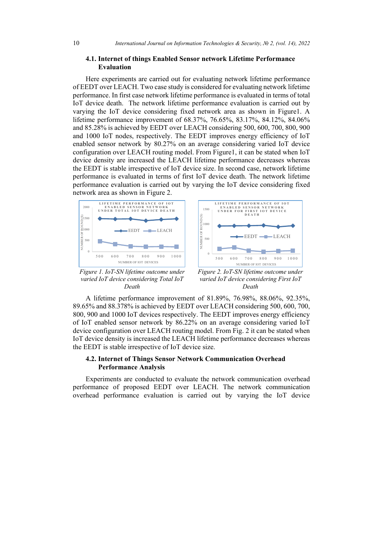### **4.1. Internet of things Enabled Sensor network Lifetime Performance Evaluation**

Here experiments are carried out for evaluating network lifetime performance of EEDT over LEACH. Two case study is considered for evaluating network lifetime performance. In first case network lifetime performance is evaluated in terms of total IoT device death. The network lifetime performance evaluation is carried out by varying the IoT device considering fixed network area as shown in Figure1. A lifetime performance improvement of 68.37%, 76.65%, 83.17%, 84.12%, 84.06% and 85.28% is achieved by EEDT over LEACH considering 500, 600, 700, 800, 900 and 1000 IoT nodes, respectively. The EEDT improves energy efficiency of IoT enabled sensor network by 80.27% on an average considering varied IoT device configuration over LEACH routing model. From Figure1, it can be stated when IoT device density are increased the LEACH lifetime performance decreases whereas the EEDT is stable irrespective of IoT device size. In second case, network lifetime performance is evaluated in terms of first IoT device death. The network lifetime performance evaluation is carried out by varying the IoT device considering fixed network area as shown in Figure 2.



*Figure 1. IoT-SN lifetime outcome under varied IoT device considering Total IoT Death*



*Figure 2. IoT-SN lifetime outcome under varied IoT device considering First IoT Death*

A lifetime performance improvement of 81.89%, 76.98%, 88.06%, 92.35%, 89.65% and 88.378% is achieved by EEDT over LEACH considering 500, 600, 700, 800, 900 and 1000 IoT devices respectively. The EEDT improves energy efficiency of IoT enabled sensor network by 86.22% on an average considering varied IoT device configuration over LEACH routing model. From Fig. 2 it can be stated when IoT device density is increased the LEACH lifetime performance decreases whereas the EEDT is stable irrespective of IoT device size.

## **4.2. Internet of Things Sensor Network Communication Overhead Performance Analysis**

Experiments are conducted to evaluate the network communication overhead performance of proposed EEDT over LEACH. The network communication overhead performance evaluation is carried out by varying the IoT device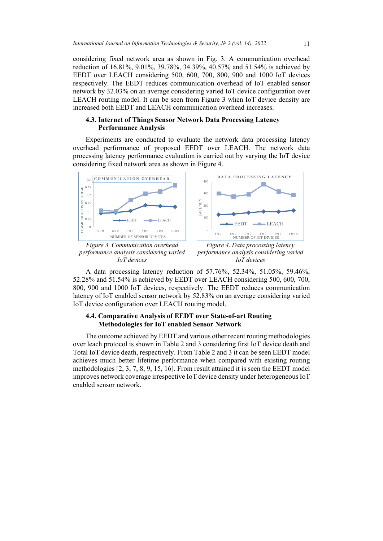considering fixed network area as shown in Fig. 3. A communication overhead reduction of 16.81%, 9.01%, 39.78%, 34.39%, 40.57% and 51.54% is achieved by EEDT over LEACH considering 500, 600, 700, 800, 900 and 1000 IoT devices respectively. The EEDT reduces communication overhead of IoT enabled sensor network by 32.03% on an average considering varied IoT device configuration over LEACH routing model. It can be seen from Figure 3 when IoT device density are increased both EEDT and LEACH communication overhead increases.

## **4.3. Internet of Things Sensor Network Data Processing Latency Performance Analysis**

Experiments are conducted to evaluate the network data processing latency overhead performance of proposed EEDT over LEACH. The network data processing latency performance evaluation is carried out by varying the IoT device considering fixed network area as shown in Figure 4.



*performance analysis considering varied IoT devices*



A data processing latency reduction of 57.76%, 52.34%, 51.05%, 59.46%, 52.28% and 51.54% is achieved by EEDT over LEACH considering 500, 600, 700, 800, 900 and 1000 IoT devices, respectively. The EEDT reduces communication latency of IoT enabled sensor network by 52.83% on an average considering varied IoT device configuration over LEACH routing model.

### **4.4. Comparative Analysis of EEDT over State-of-art Routing Methodologies for IoT enabled Sensor Network**

The outcome achieved by EEDT and various other recent routing methodologies over leach protocol is shown in Table 2 and 3 considering first IoT device death and Total IoT device death, respectively. From Table 2 and 3 it can be seen EEDT model achieves much better lifetime performance when compared with existing routing methodologies [2, 3, 7, 8, 9, 15, 16]. From result attained it is seen the EEDT model improves network coverage irrespective IoT device density under heterogeneous IoT enabled sensor network.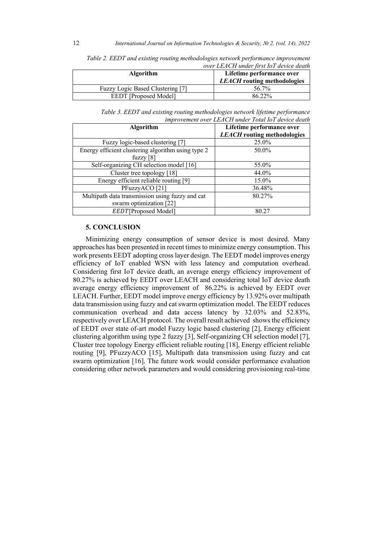|                                         | <i>Over LEACH under first for device death</i> |
|-----------------------------------------|------------------------------------------------|
| <b>Algorithm</b>                        | Lifetime performance over                      |
|                                         | <i>LEACH</i> routing methodologies             |
| <b>Fuzzy Logic Based Clustering [7]</b> | 56.7%                                          |
| <b>EEDT</b> [Proposed Model]            | 86.22%                                         |

*Table 2. EEDT and existing routing methodologies network performance improvement over LEACH under first IoT device death*

*Table 3. EEDT and existing routing methodologies network lifetime performance improvement over LEACH under Total IoT device death*

| Algorithm                                          | Lifetime performance over          |
|----------------------------------------------------|------------------------------------|
|                                                    | <b>LEACH</b> routing methodologies |
| Fuzzy logic-based clustering [7]                   | 25.0%                              |
| Energy efficient clustering algorithm using type 2 | 50.0%                              |
| fuzzy $[8]$                                        |                                    |
| Self-organizing CH selection model [16]            | 55.0%                              |
| Cluster tree topology [18]                         | 44.0%                              |
| Energy efficient reliable routing [9]              | 15.0%                              |
| PFuzzyACO [21]                                     | 36.48%                             |
| Multipath data transmission using fuzzy and cat    | 80.27%                             |
| swarm optimization [22]                            |                                    |
| EEDT[Proposed Model]                               | 80.27                              |

#### **5. CONCLUSION**

Minimizing energy consumption of sensor device is most desired. Many approaches has been presented in recent times to minimize energy consumption. This work presents EEDT adopting cross layer design. The EEDT model improves energy efficiency of IoT enabled WSN with less latency and computation overhead. Considering first IoT device death, an average energy efficiency improvement of 80.27% is achieved by EEDT over LEACH and considering total IoT device death average energy efficiency improvement of 86.22% is achieved by EEDT over LEACH. Further, EEDT model improve energy efficiency by 13.92% over multipath data transmission using fuzzy and cat swarm optimization model. The EEDT reduces communication overhead and data access latency by 32.03% and 52.83%, respectively over LEACH protocol. The overall result achieved shows the efficiency of EEDT over state of-art model Fuzzy logic based clustering [2], Energy efficient clustering algorithm using type 2 fuzzy [3], Self-organizing CH selection model [7], Cluster tree topology Energy efficient reliable routing [18], Energy efficient reliable routing [9], PFuzzyACO [15], Multipath data transmission using fuzzy and cat swarm optimization [16]. The future work would consider performance evaluation considering other network parameters and would considering provisioning real-time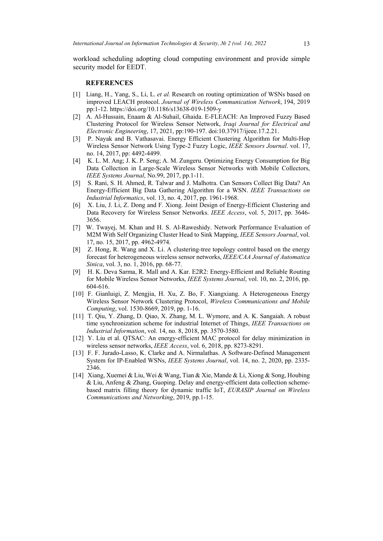workload scheduling adopting cloud computing environment and provide simple security model for EEDT.

#### **REFERENCES**

- [1] Liang, H., Yang, S., Li, L. *et al.* Research on routing optimization of WSNs based on improved LEACH protocol. *Journal of Wireless Communication Network*, 194, 2019 pp:1-12. https://doi.org/10.1186/s13638-019-1509-y
- [2] A. Al-Hussain, Enaam & Al-Suhail, Ghaida. E-FLEACH: An Improved Fuzzy Based Clustering Protocol for Wireless Sensor Network, *Iraqi Journal for Electrical and Electronic Engineering*, 17, 2021, pp:190-197. doi:10.37917/ijeee.17.2.21.
- [3] P. Nayak and B. Vathasavai. Energy Efficient Clustering Algorithm for Multi-Hop Wireless Sensor Network Using Type-2 Fuzzy Logic, *IEEE Sensors Journal*. vol. 17, no. 14, 2017, pp: 4492-4499.
- [4] K. L. M. Ang; J. K. P. Seng; A. M. Zungeru. Optimizing Energy Consumption for Big Data Collection in Large-Scale Wireless Sensor Networks with Mobile Collectors, *IEEE Systems Journal*, No.99, 2017, pp.1-11.
- [5] S. Rani, S. H. Ahmed, R. Talwar and J. Malhotra. Can Sensors Collect Big Data? An Energy-Efficient Big Data Gathering Algorithm for a WSN. *IEEE Transactions on Industrial Informatics*, vol. 13, no. 4, 2017, pp. 1961-1968.
- [6] X. Liu, J. Li, Z. Dong and F. Xiong. Joint Design of Energy-Efficient Clustering and Data Recovery for Wireless Sensor Networks. *IEEE Access*, vol. 5, 2017, pp. 3646- 3656.
- [7] W. Twayej, M. Khan and H. S. Al-Raweshidy. Network Performance Evaluation of M2M With Self Organizing Cluster Head to Sink Mapping, *IEEE Sensors Journal*, vol. 17, no. 15, 2017, pp. 4962-4974.
- [8] Z. Hong, R. Wang and X. Li. A clustering-tree topology control based on the energy forecast for heterogeneous wireless sensor networks, *IEEE/CAA Journal of Automatica Sinica*, vol. 3, no. 1, 2016, pp. 68-77.
- [9] H. K. Deva Sarma, R. Mall and A. Kar. E2R2: Energy-Efficient and Reliable Routing for Mobile Wireless Sensor Networks, *IEEE Systems Journal*, vol. 10, no. 2, 2016, pp. 604-616.
- [10] F. Gianluigi, Z. Mengjia, H. Xu, Z. Bo, F. Xiangxiang. A Heterogeneous Energy Wireless Sensor Network Clustering Protocol, *Wireless Communications and Mobile Computing*, vol. 1530-8669, 2019, pp. 1-16.
- [11] T. Qiu, Y. Zhang, D. Qiao, X. Zhang, M. L. Wymore, and A. K. Sangaiah. A robust time synchronization scheme for industrial Internet of Things, *IEEE Transactions on Industrial Information*, vol. 14, no. 8, 2018, pp. 3570-3580.
- [12] Y. Liu et al. QTSAC: An energy-efficient MAC protocol for delay minimization in wireless sensor networks, *IEEE Access*, vol. 6, 2018, pp. 8273-8291.
- [13] F. F. Jurado-Lasso, K. Clarke and A. Nirmalathas. A Software-Defined Management System for IP-Enabled WSNs, *IEEE Systems Journal*, vol. 14, no. 2, 2020, pp. 2335- 2346.
- [14] Xiang, Xuemei & Liu, Wei & Wang, Tian & Xie, Mande & Li, Xiong & Song, Houbing & Liu, Anfeng & Zhang, Guoping. Delay and energy-efficient data collection schemebased matrix filling theory for dynamic traffic IoT, *EURASIP Journal on Wireless Communications and Networking*, 2019, pp.1-15.